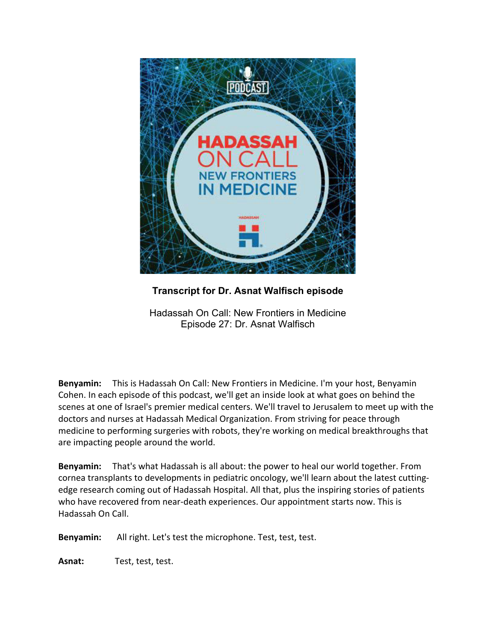

**Transcript for Dr. Asnat Walfisch episode**

Hadassah On Call: New Frontiers in Medicine Episode 27: Dr. Asnat Walfisch

**Benyamin:** This is Hadassah On Call: New Frontiers in Medicine. I'm your host, Benyamin Cohen. In each episode of this podcast, we'll get an inside look at what goes on behind the scenes at one of Israel's premier medical centers. We'll travel to Jerusalem to meet up with the doctors and nurses at Hadassah Medical Organization. From striving for peace through medicine to performing surgeries with robots, they're working on medical breakthroughs that are impacting people around the world.

**Benyamin:** That's what Hadassah is all about: the power to heal our world together. From cornea transplants to developments in pediatric oncology, we'll learn about the latest cuttingedge research coming out of Hadassah Hospital. All that, plus the inspiring stories of patients who have recovered from near-death experiences. Our appointment starts now. This is Hadassah On Call.

**Benyamin:** All right. Let's test the microphone. Test, test, test.

**Asnat:** Test, test, test.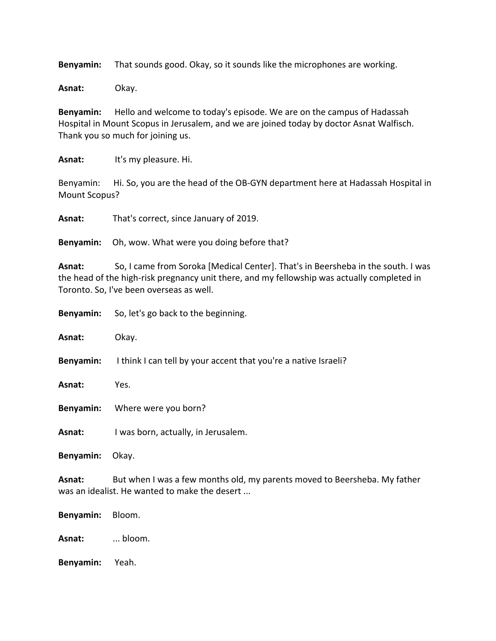**Benyamin:** That sounds good. Okay, so it sounds like the microphones are working.

**Asnat:** Okay.

**Benyamin:** Hello and welcome to today's episode. We are on the campus of Hadassah Hospital in Mount Scopus in Jerusalem, and we are joined today by doctor Asnat Walfisch. Thank you so much for joining us.

**Asnat:** It's my pleasure. Hi.

Benyamin: Hi. So, you are the head of the OB-GYN department here at Hadassah Hospital in Mount Scopus?

**Asnat:** That's correct, since January of 2019.

**Benyamin:** Oh, wow. What were you doing before that?

**Asnat:** So, I came from Soroka [Medical Center]. That's in Beersheba in the south. I was the head of the high-risk pregnancy unit there, and my fellowship was actually completed in Toronto. So, I've been overseas as well.

|                 | <b>Benyamin:</b> So, let's go back to the beginning.                                                                       |
|-----------------|----------------------------------------------------------------------------------------------------------------------------|
| Asnat:          | Okay.                                                                                                                      |
|                 | <b>Benyamin:</b> I think I can tell by your accent that you're a native Israeli?                                           |
| Asnat:          | Yes.                                                                                                                       |
|                 | <b>Benyamin:</b> Where were you born?                                                                                      |
| Asnat:          | I was born, actually, in Jerusalem.                                                                                        |
| Benyamin: Okay. |                                                                                                                            |
| Asnat:          | But when I was a few months old, my parents moved to Beersheba. My father<br>was an idealist. He wanted to make the desert |
| Benyamin:       | Bloom.                                                                                                                     |

**Asnat:** ... bloom.

**Benyamin:** Yeah.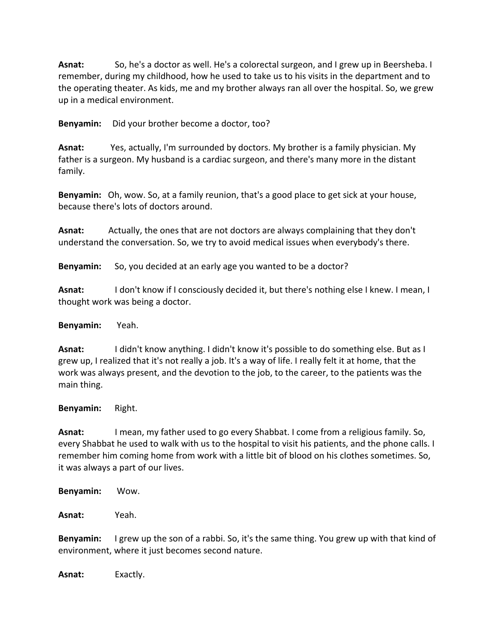**Asnat:** So, he's a doctor as well. He's a colorectal surgeon, and I grew up in Beersheba. I remember, during my childhood, how he used to take us to his visits in the department and to the operating theater. As kids, me and my brother always ran all over the hospital. So, we grew up in a medical environment.

**Benyamin:** Did your brother become a doctor, too?

**Asnat:** Yes, actually, I'm surrounded by doctors. My brother is a family physician. My father is a surgeon. My husband is a cardiac surgeon, and there's many more in the distant family.

**Benyamin:** Oh, wow. So, at a family reunion, that's a good place to get sick at your house, because there's lots of doctors around.

**Asnat:** Actually, the ones that are not doctors are always complaining that they don't understand the conversation. So, we try to avoid medical issues when everybody's there.

**Benyamin:** So, you decided at an early age you wanted to be a doctor?

**Asnat:** I don't know if I consciously decided it, but there's nothing else I knew. I mean, I thought work was being a doctor.

**Benyamin:** Yeah.

**Asnat:** I didn't know anything. I didn't know it's possible to do something else. But as I grew up, I realized that it's not really a job. It's a way of life. I really felt it at home, that the work was always present, and the devotion to the job, to the career, to the patients was the main thing.

**Benyamin:** Right.

**Asnat:** I mean, my father used to go every Shabbat. I come from a religious family. So, every Shabbat he used to walk with us to the hospital to visit his patients, and the phone calls. I remember him coming home from work with a little bit of blood on his clothes sometimes. So, it was always a part of our lives.

**Benyamin:** Wow.

**Asnat:** Yeah.

**Benyamin:** I grew up the son of a rabbi. So, it's the same thing. You grew up with that kind of environment, where it just becomes second nature.

**Asnat:** Exactly.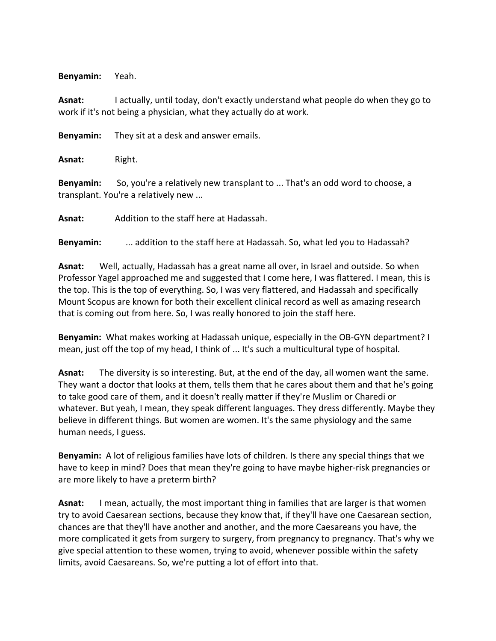**Benyamin:** Yeah.

**Asnat:** I actually, until today, don't exactly understand what people do when they go to work if it's not being a physician, what they actually do at work.

**Benyamin:** They sit at a desk and answer emails.

**Asnat:** Right.

**Benyamin:** So, you're a relatively new transplant to ... That's an odd word to choose, a transplant. You're a relatively new ...

**Asnat:** Addition to the staff here at Hadassah.

**Benyamin:** ... addition to the staff here at Hadassah. So, what led you to Hadassah?

**Asnat:** Well, actually, Hadassah has a great name all over, in Israel and outside. So when Professor Yagel approached me and suggested that I come here, I was flattered. I mean, this is the top. This is the top of everything. So, I was very flattered, and Hadassah and specifically Mount Scopus are known for both their excellent clinical record as well as amazing research that is coming out from here. So, I was really honored to join the staff here.

**Benyamin:** What makes working at Hadassah unique, especially in the OB-GYN department? I mean, just off the top of my head, I think of ... It's such a multicultural type of hospital.

**Asnat:** The diversity is so interesting. But, at the end of the day, all women want the same. They want a doctor that looks at them, tells them that he cares about them and that he's going to take good care of them, and it doesn't really matter if they're Muslim or Charedi or whatever. But yeah, I mean, they speak different languages. They dress differently. Maybe they believe in different things. But women are women. It's the same physiology and the same human needs, I guess.

**Benyamin:** A lot of religious families have lots of children. Is there any special things that we have to keep in mind? Does that mean they're going to have maybe higher-risk pregnancies or are more likely to have a preterm birth?

**Asnat:** I mean, actually, the most important thing in families that are larger is that women try to avoid Caesarean sections, because they know that, if they'll have one Caesarean section, chances are that they'll have another and another, and the more Caesareans you have, the more complicated it gets from surgery to surgery, from pregnancy to pregnancy. That's why we give special attention to these women, trying to avoid, whenever possible within the safety limits, avoid Caesareans. So, we're putting a lot of effort into that.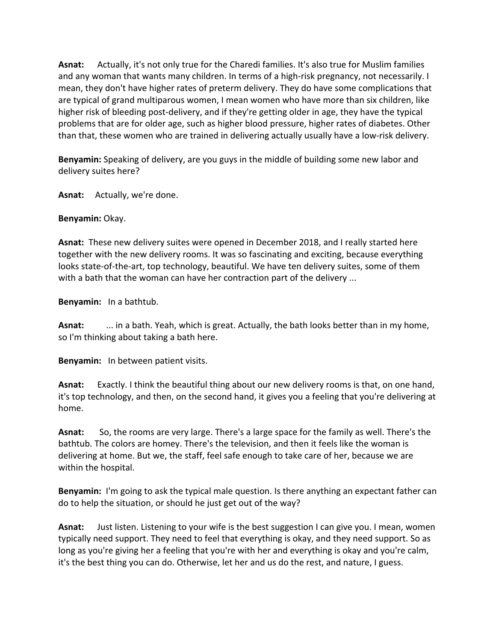**Asnat:** Actually, it's not only true for the Charedi families. It's also true for Muslim families and any woman that wants many children. In terms of a high-risk pregnancy, not necessarily. I mean, they don't have higher rates of preterm delivery. They do have some complications that are typical of grand multiparous women, I mean women who have more than six children, like higher risk of bleeding post-delivery, and if they're getting older in age, they have the typical problems that are for older age, such as higher blood pressure, higher rates of diabetes. Other than that, these women who are trained in delivering actually usually have a low-risk delivery.

**Benyamin:** Speaking of delivery, are you guys in the middle of building some new labor and delivery suites here?

**Asnat:** Actually, we're done.

## **Benyamin:** Okay.

**Asnat:** These new delivery suites were opened in December 2018, and I really started here together with the new delivery rooms. It was so fascinating and exciting, because everything looks state-of-the-art, top technology, beautiful. We have ten delivery suites, some of them with a bath that the woman can have her contraction part of the delivery ...

**Benyamin:** In a bathtub.

**Asnat:** ... in a bath. Yeah, which is great. Actually, the bath looks better than in my home, so I'm thinking about taking a bath here.

**Benyamin:** In between patient visits.

**Asnat:** Exactly. I think the beautiful thing about our new delivery rooms is that, on one hand, it's top technology, and then, on the second hand, it gives you a feeling that you're delivering at home.

**Asnat:** So, the rooms are very large. There's a large space for the family as well. There's the bathtub. The colors are homey. There's the television, and then it feels like the woman is delivering at home. But we, the staff, feel safe enough to take care of her, because we are within the hospital.

**Benyamin:** I'm going to ask the typical male question. Is there anything an expectant father can do to help the situation, or should he just get out of the way?

**Asnat:** Just listen. Listening to your wife is the best suggestion I can give you. I mean, women typically need support. They need to feel that everything is okay, and they need support. So as long as you're giving her a feeling that you're with her and everything is okay and you're calm, it's the best thing you can do. Otherwise, let her and us do the rest, and nature, I guess.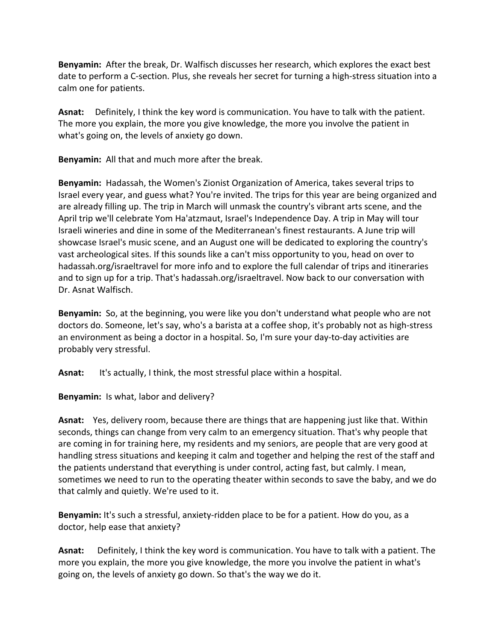**Benyamin:** After the break, Dr. Walfisch discusses her research, which explores the exact best date to perform a C-section. Plus, she reveals her secret for turning a high-stress situation into a calm one for patients.

**Asnat:** Definitely, I think the key word is communication. You have to talk with the patient. The more you explain, the more you give knowledge, the more you involve the patient in what's going on, the levels of anxiety go down.

**Benyamin:** All that and much more after the break.

**Benyamin:** Hadassah, the Women's Zionist Organization of America, takes several trips to Israel every year, and guess what? You're invited. The trips for this year are being organized and are already filling up. The trip in March will unmask the country's vibrant arts scene, and the April trip we'll celebrate Yom Ha'atzmaut, Israel's Independence Day. A trip in May will tour Israeli wineries and dine in some of the Mediterranean's finest restaurants. A June trip will showcase Israel's music scene, and an August one will be dedicated to exploring the country's vast archeological sites. If this sounds like a can't miss opportunity to you, head on over to hadassah.org/israeltravel for more info and to explore the full calendar of trips and itineraries and to sign up for a trip. That's hadassah.org/israeltravel. Now back to our conversation with Dr. Asnat Walfisch.

**Benyamin:** So, at the beginning, you were like you don't understand what people who are not doctors do. Someone, let's say, who's a barista at a coffee shop, it's probably not as high-stress an environment as being a doctor in a hospital. So, I'm sure your day-to-day activities are probably very stressful.

**Asnat:** It's actually, I think, the most stressful place within a hospital.

**Benyamin:** Is what, labor and delivery?

**Asnat:** Yes, delivery room, because there are things that are happening just like that. Within seconds, things can change from very calm to an emergency situation. That's why people that are coming in for training here, my residents and my seniors, are people that are very good at handling stress situations and keeping it calm and together and helping the rest of the staff and the patients understand that everything is under control, acting fast, but calmly. I mean, sometimes we need to run to the operating theater within seconds to save the baby, and we do that calmly and quietly. We're used to it.

**Benyamin:** It's such a stressful, anxiety-ridden place to be for a patient. How do you, as a doctor, help ease that anxiety?

**Asnat:** Definitely, I think the key word is communication. You have to talk with a patient. The more you explain, the more you give knowledge, the more you involve the patient in what's going on, the levels of anxiety go down. So that's the way we do it.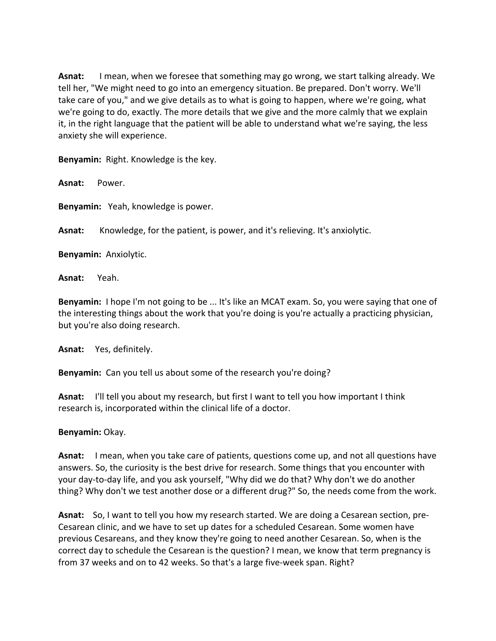**Asnat:** I mean, when we foresee that something may go wrong, we start talking already. We tell her, "We might need to go into an emergency situation. Be prepared. Don't worry. We'll take care of you," and we give details as to what is going to happen, where we're going, what we're going to do, exactly. The more details that we give and the more calmly that we explain it, in the right language that the patient will be able to understand what we're saying, the less anxiety she will experience.

**Benyamin:** Right. Knowledge is the key.

**Asnat:** Power.

**Benyamin:** Yeah, knowledge is power.

**Asnat:** Knowledge, for the patient, is power, and it's relieving. It's anxiolytic.

**Benyamin:** Anxiolytic.

**Asnat:** Yeah.

**Benyamin:** I hope I'm not going to be ... It's like an MCAT exam. So, you were saying that one of the interesting things about the work that you're doing is you're actually a practicing physician, but you're also doing research.

**Asnat:** Yes, definitely.

**Benyamin:** Can you tell us about some of the research you're doing?

**Asnat:** I'll tell you about my research, but first I want to tell you how important I think research is, incorporated within the clinical life of a doctor.

#### **Benyamin:** Okay.

**Asnat:** I mean, when you take care of patients, questions come up, and not all questions have answers. So, the curiosity is the best drive for research. Some things that you encounter with your day-to-day life, and you ask yourself, "Why did we do that? Why don't we do another thing? Why don't we test another dose or a different drug?" So, the needs come from the work.

**Asnat:** So, I want to tell you how my research started. We are doing a Cesarean section, pre-Cesarean clinic, and we have to set up dates for a scheduled Cesarean. Some women have previous Cesareans, and they know they're going to need another Cesarean. So, when is the correct day to schedule the Cesarean is the question? I mean, we know that term pregnancy is from 37 weeks and on to 42 weeks. So that's a large five-week span. Right?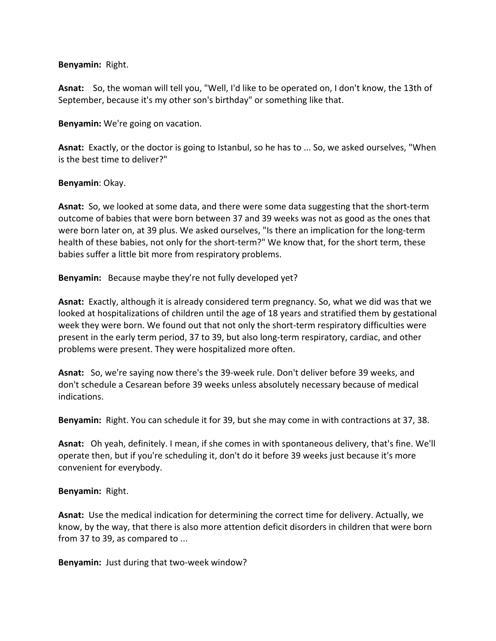### **Benyamin:** Right.

**Asnat:** So, the woman will tell you, "Well, I'd like to be operated on, I don't know, the 13th of September, because it's my other son's birthday" or something like that.

**Benyamin:** We're going on vacation.

**Asnat:** Exactly, or the doctor is going to Istanbul, so he has to ... So, we asked ourselves, "When is the best time to deliver?"

### **Benyamin**: Okay.

**Asnat:** So, we looked at some data, and there were some data suggesting that the short-term outcome of babies that were born between 37 and 39 weeks was not as good as the ones that were born later on, at 39 plus. We asked ourselves, "Is there an implication for the long-term health of these babies, not only for the short-term?" We know that, for the short term, these babies suffer a little bit more from respiratory problems.

**Benyamin:** Because maybe they're not fully developed yet?

**Asnat:** Exactly, although it is already considered term pregnancy. So, what we did was that we looked at hospitalizations of children until the age of 18 years and stratified them by gestational week they were born. We found out that not only the short-term respiratory difficulties were present in the early term period, 37 to 39, but also long-term respiratory, cardiac, and other problems were present. They were hospitalized more often.

**Asnat:** So, we're saying now there's the 39-week rule. Don't deliver before 39 weeks, and don't schedule a Cesarean before 39 weeks unless absolutely necessary because of medical indications.

**Benyamin:** Right. You can schedule it for 39, but she may come in with contractions at 37, 38.

**Asnat:** Oh yeah, definitely. I mean, if she comes in with spontaneous delivery, that's fine. We'll operate then, but if you're scheduling it, don't do it before 39 weeks just because it's more convenient for everybody.

#### **Benyamin:** Right.

**Asnat:** Use the medical indication for determining the correct time for delivery. Actually, we know, by the way, that there is also more attention deficit disorders in children that were born from 37 to 39, as compared to ...

**Benyamin:** Just during that two-week window?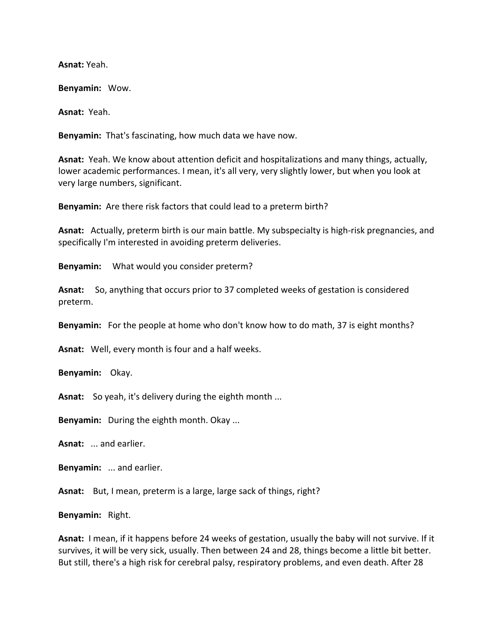**Asnat:** Yeah.

**Benyamin:** Wow.

**Asnat:** Yeah.

**Benyamin:** That's fascinating, how much data we have now.

**Asnat:** Yeah. We know about attention deficit and hospitalizations and many things, actually, lower academic performances. I mean, it's all very, very slightly lower, but when you look at very large numbers, significant.

**Benyamin:** Are there risk factors that could lead to a preterm birth?

**Asnat:** Actually, preterm birth is our main battle. My subspecialty is high-risk pregnancies, and specifically I'm interested in avoiding preterm deliveries.

**Benyamin:** What would you consider preterm?

**Asnat:** So, anything that occurs prior to 37 completed weeks of gestation is considered preterm.

**Benyamin:** For the people at home who don't know how to do math, 37 is eight months?

**Asnat:** Well, every month is four and a half weeks.

**Benyamin:** Okay.

**Asnat:** So yeah, it's delivery during the eighth month ...

**Benyamin:** During the eighth month. Okay ...

**Asnat:** ... and earlier.

**Benyamin:** ... and earlier.

Asnat: But, I mean, preterm is a large, large sack of things, right?

**Benyamin:** Right.

**Asnat:** I mean, if it happens before 24 weeks of gestation, usually the baby will not survive. If it survives, it will be very sick, usually. Then between 24 and 28, things become a little bit better. But still, there's a high risk for cerebral palsy, respiratory problems, and even death. After 28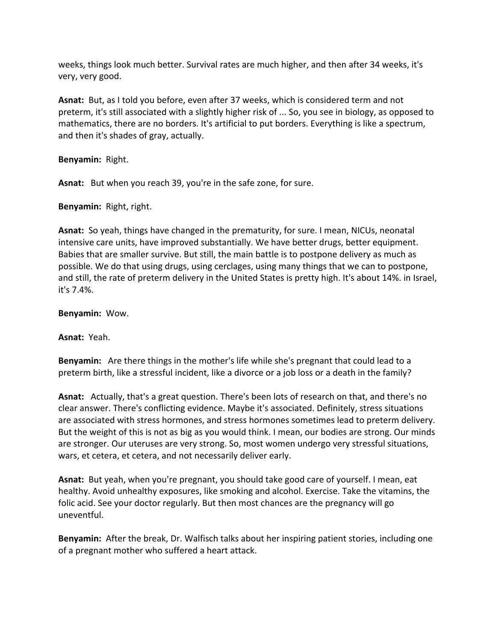weeks, things look much better. Survival rates are much higher, and then after 34 weeks, it's very, very good.

**Asnat:** But, as I told you before, even after 37 weeks, which is considered term and not preterm, it's still associated with a slightly higher risk of ... So, you see in biology, as opposed to mathematics, there are no borders. It's artificial to put borders. Everything is like a spectrum, and then it's shades of gray, actually.

**Benyamin:** Right.

**Asnat:** But when you reach 39, you're in the safe zone, for sure.

**Benyamin:** Right, right.

**Asnat:** So yeah, things have changed in the prematurity, for sure. I mean, NICUs, neonatal intensive care units, have improved substantially. We have better drugs, better equipment. Babies that are smaller survive. But still, the main battle is to postpone delivery as much as possible. We do that using drugs, using cerclages, using many things that we can to postpone, and still, the rate of preterm delivery in the United States is pretty high. It's about 14%. in Israel, it's 7.4%.

**Benyamin:** Wow.

**Asnat:** Yeah.

**Benyamin:** Are there things in the mother's life while she's pregnant that could lead to a preterm birth, like a stressful incident, like a divorce or a job loss or a death in the family?

**Asnat:** Actually, that's a great question. There's been lots of research on that, and there's no clear answer. There's conflicting evidence. Maybe it's associated. Definitely, stress situations are associated with stress hormones, and stress hormones sometimes lead to preterm delivery. But the weight of this is not as big as you would think. I mean, our bodies are strong. Our minds are stronger. Our uteruses are very strong. So, most women undergo very stressful situations, wars, et cetera, et cetera, and not necessarily deliver early.

**Asnat:** But yeah, when you're pregnant, you should take good care of yourself. I mean, eat healthy. Avoid unhealthy exposures, like smoking and alcohol. Exercise. Take the vitamins, the folic acid. See your doctor regularly. But then most chances are the pregnancy will go uneventful.

**Benyamin:** After the break, Dr. Walfisch talks about her inspiring patient stories, including one of a pregnant mother who suffered a heart attack.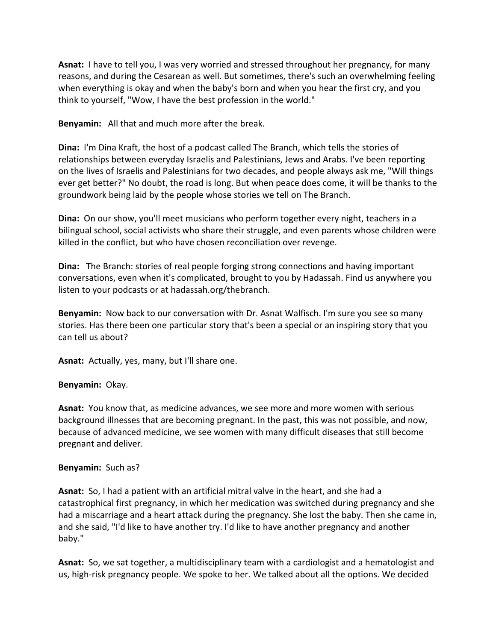**Asnat:** I have to tell you, I was very worried and stressed throughout her pregnancy, for many reasons, and during the Cesarean as well. But sometimes, there's such an overwhelming feeling when everything is okay and when the baby's born and when you hear the first cry, and you think to yourself, "Wow, I have the best profession in the world."

**Benyamin:** All that and much more after the break.

**Dina:** I'm Dina Kraft, the host of a podcast called The Branch, which tells the stories of relationships between everyday Israelis and Palestinians, Jews and Arabs. I've been reporting on the lives of Israelis and Palestinians for two decades, and people always ask me, "Will things ever get better?" No doubt, the road is long. But when peace does come, it will be thanks to the groundwork being laid by the people whose stories we tell on The Branch.

**Dina:** On our show, you'll meet musicians who perform together every night, teachers in a bilingual school, social activists who share their struggle, and even parents whose children were killed in the conflict, but who have chosen reconciliation over revenge.

**Dina:** The Branch: stories of real people forging strong connections and having important conversations, even when it's complicated, brought to you by Hadassah. Find us anywhere you listen to your podcasts or at hadassah.org/thebranch.

**Benyamin:** Now back to our conversation with Dr. Asnat Walfisch. I'm sure you see so many stories. Has there been one particular story that's been a special or an inspiring story that you can tell us about?

**Asnat:** Actually, yes, many, but I'll share one.

### **Benyamin:** Okay.

**Asnat:** You know that, as medicine advances, we see more and more women with serious background illnesses that are becoming pregnant. In the past, this was not possible, and now, because of advanced medicine, we see women with many difficult diseases that still become pregnant and deliver.

#### **Benyamin:** Such as?

**Asnat:** So, I had a patient with an artificial mitral valve in the heart, and she had a catastrophical first pregnancy, in which her medication was switched during pregnancy and she had a miscarriage and a heart attack during the pregnancy. She lost the baby. Then she came in, and she said, "I'd like to have another try. I'd like to have another pregnancy and another baby."

**Asnat:** So, we sat together, a multidisciplinary team with a cardiologist and a hematologist and us, high-risk pregnancy people. We spoke to her. We talked about all the options. We decided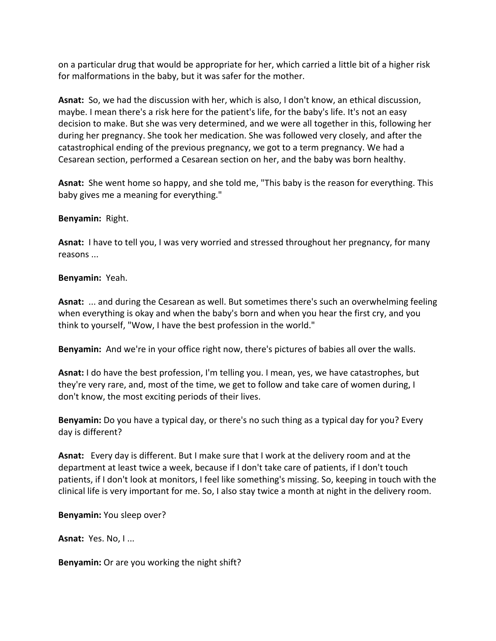on a particular drug that would be appropriate for her, which carried a little bit of a higher risk for malformations in the baby, but it was safer for the mother.

**Asnat:** So, we had the discussion with her, which is also, I don't know, an ethical discussion, maybe. I mean there's a risk here for the patient's life, for the baby's life. It's not an easy decision to make. But she was very determined, and we were all together in this, following her during her pregnancy. She took her medication. She was followed very closely, and after the catastrophical ending of the previous pregnancy, we got to a term pregnancy. We had a Cesarean section, performed a Cesarean section on her, and the baby was born healthy.

**Asnat:** She went home so happy, and she told me, "This baby is the reason for everything. This baby gives me a meaning for everything."

**Benyamin:** Right.

**Asnat:** I have to tell you, I was very worried and stressed throughout her pregnancy, for many reasons ...

**Benyamin:** Yeah.

**Asnat:** ... and during the Cesarean as well. But sometimes there's such an overwhelming feeling when everything is okay and when the baby's born and when you hear the first cry, and you think to yourself, "Wow, I have the best profession in the world."

**Benyamin:** And we're in your office right now, there's pictures of babies all over the walls.

**Asnat:** I do have the best profession, I'm telling you. I mean, yes, we have catastrophes, but they're very rare, and, most of the time, we get to follow and take care of women during, I don't know, the most exciting periods of their lives.

**Benyamin:** Do you have a typical day, or there's no such thing as a typical day for you? Every day is different?

**Asnat:** Every day is different. But I make sure that I work at the delivery room and at the department at least twice a week, because if I don't take care of patients, if I don't touch patients, if I don't look at monitors, I feel like something's missing. So, keeping in touch with the clinical life is very important for me. So, I also stay twice a month at night in the delivery room.

**Benyamin:** You sleep over?

**Asnat:** Yes. No, I ...

**Benyamin:** Or are you working the night shift?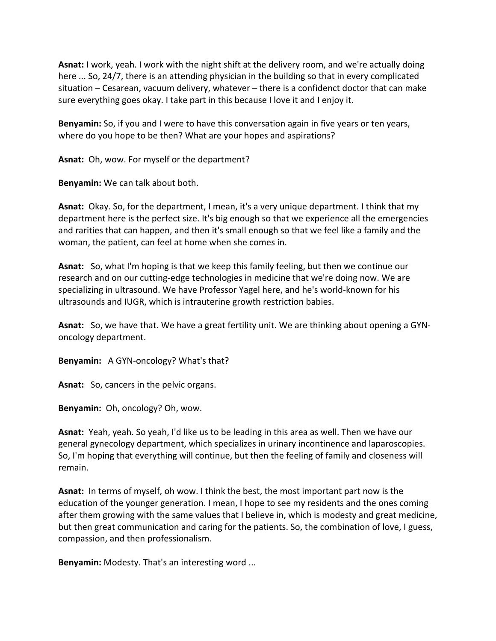**Asnat:** I work, yeah. I work with the night shift at the delivery room, and we're actually doing here ... So, 24/7, there is an attending physician in the building so that in every complicated situation – Cesarean, vacuum delivery, whatever – there is a confidenct doctor that can make sure everything goes okay. I take part in this because I love it and I enjoy it.

**Benyamin:** So, if you and I were to have this conversation again in five years or ten years, where do you hope to be then? What are your hopes and aspirations?

**Asnat:** Oh, wow. For myself or the department?

**Benyamin:** We can talk about both.

**Asnat:** Okay. So, for the department, I mean, it's a very unique department. I think that my department here is the perfect size. It's big enough so that we experience all the emergencies and rarities that can happen, and then it's small enough so that we feel like a family and the woman, the patient, can feel at home when she comes in.

**Asnat:** So, what I'm hoping is that we keep this family feeling, but then we continue our research and on our cutting-edge technologies in medicine that we're doing now. We are specializing in ultrasound. We have Professor Yagel here, and he's world-known for his ultrasounds and IUGR, which is intrauterine growth restriction babies.

**Asnat:** So, we have that. We have a great fertility unit. We are thinking about opening a GYNoncology department.

**Benyamin:** A GYN-oncology? What's that?

**Asnat:** So, cancers in the pelvic organs.

**Benyamin:** Oh, oncology? Oh, wow.

**Asnat:** Yeah, yeah. So yeah, I'd like us to be leading in this area as well. Then we have our general gynecology department, which specializes in urinary incontinence and laparoscopies. So, I'm hoping that everything will continue, but then the feeling of family and closeness will remain.

**Asnat:** In terms of myself, oh wow. I think the best, the most important part now is the education of the younger generation. I mean, I hope to see my residents and the ones coming after them growing with the same values that I believe in, which is modesty and great medicine, but then great communication and caring for the patients. So, the combination of love, I guess, compassion, and then professionalism.

**Benyamin:** Modesty. That's an interesting word ...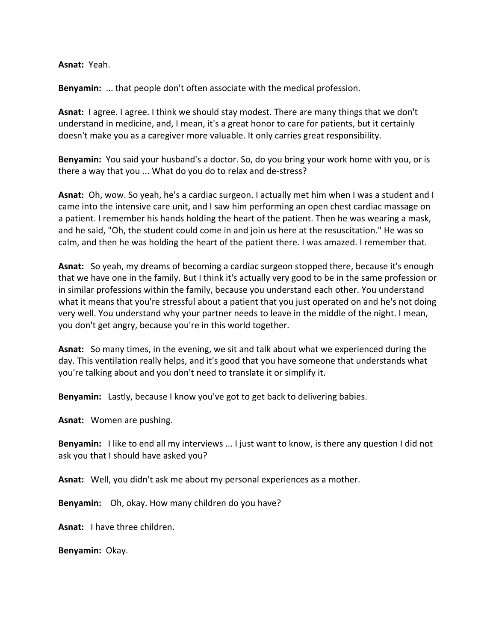**Asnat:** Yeah.

**Benyamin:** ... that people don't often associate with the medical profession.

**Asnat:** I agree. I agree. I think we should stay modest. There are many things that we don't understand in medicine, and, I mean, it's a great honor to care for patients, but it certainly doesn't make you as a caregiver more valuable. It only carries great responsibility.

**Benyamin:** You said your husband's a doctor. So, do you bring your work home with you, or is there a way that you ... What do you do to relax and de-stress?

**Asnat:** Oh, wow. So yeah, he's a cardiac surgeon. I actually met him when I was a student and I came into the intensive care unit, and I saw him performing an open chest cardiac massage on a patient. I remember his hands holding the heart of the patient. Then he was wearing a mask, and he said, "Oh, the student could come in and join us here at the resuscitation." He was so calm, and then he was holding the heart of the patient there. I was amazed. I remember that.

**Asnat:** So yeah, my dreams of becoming a cardiac surgeon stopped there, because it's enough that we have one in the family. But I think it's actually very good to be in the same profession or in similar professions within the family, because you understand each other. You understand what it means that you're stressful about a patient that you just operated on and he's not doing very well. You understand why your partner needs to leave in the middle of the night. I mean, you don't get angry, because you're in this world together.

**Asnat:** So many times, in the evening, we sit and talk about what we experienced during the day. This ventilation really helps, and it's good that you have someone that understands what you're talking about and you don't need to translate it or simplify it.

**Benyamin:** Lastly, because I know you've got to get back to delivering babies.

**Asnat:** Women are pushing.

**Benyamin:** I like to end all my interviews ... I just want to know, is there any question I did not ask you that I should have asked you?

**Asnat:** Well, you didn't ask me about my personal experiences as a mother.

**Benyamin:** Oh, okay. How many children do you have?

**Asnat:** I have three children.

**Benyamin:** Okay.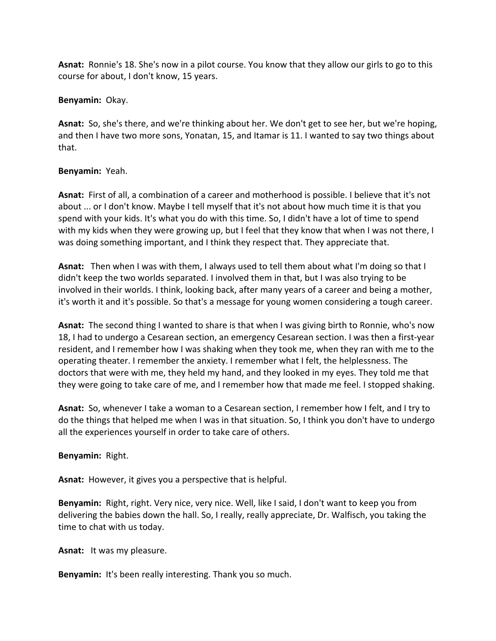**Asnat:** Ronnie's 18. She's now in a pilot course. You know that they allow our girls to go to this course for about, I don't know, 15 years.

## **Benyamin:** Okay.

**Asnat:** So, she's there, and we're thinking about her. We don't get to see her, but we're hoping, and then I have two more sons, Yonatan, 15, and Itamar is 11. I wanted to say two things about that.

## **Benyamin:** Yeah.

**Asnat:** First of all, a combination of a career and motherhood is possible. I believe that it's not about ... or I don't know. Maybe I tell myself that it's not about how much time it is that you spend with your kids. It's what you do with this time. So, I didn't have a lot of time to spend with my kids when they were growing up, but I feel that they know that when I was not there, I was doing something important, and I think they respect that. They appreciate that.

**Asnat:** Then when I was with them, I always used to tell them about what I'm doing so that I didn't keep the two worlds separated. I involved them in that, but I was also trying to be involved in their worlds. I think, looking back, after many years of a career and being a mother, it's worth it and it's possible. So that's a message for young women considering a tough career.

**Asnat:** The second thing I wanted to share is that when I was giving birth to Ronnie, who's now 18, I had to undergo a Cesarean section, an emergency Cesarean section. I was then a first-year resident, and I remember how I was shaking when they took me, when they ran with me to the operating theater. I remember the anxiety. I remember what I felt, the helplessness. The doctors that were with me, they held my hand, and they looked in my eyes. They told me that they were going to take care of me, and I remember how that made me feel. I stopped shaking.

**Asnat:** So, whenever I take a woman to a Cesarean section, I remember how I felt, and I try to do the things that helped me when I was in that situation. So, I think you don't have to undergo all the experiences yourself in order to take care of others.

# **Benyamin:** Right.

**Asnat:** However, it gives you a perspective that is helpful.

**Benyamin:** Right, right. Very nice, very nice. Well, like I said, I don't want to keep you from delivering the babies down the hall. So, I really, really appreciate, Dr. Walfisch, you taking the time to chat with us today.

**Asnat:** It was my pleasure.

**Benyamin:** It's been really interesting. Thank you so much.